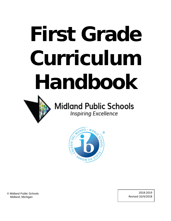# **First Grade Curriculum Handbook**



**Midland Public Schools** Inspiring Excellence



© Midland Public Schools Midland, Michigan

2018-2019 Revised 10/4/2018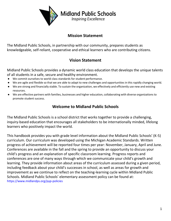

# **Mission Statement**

The Midland Public Schools, in partnership with our community, prepares students as knowledgeable, self-reliant, cooperative and ethical learners who are contributing citizens.

# **Vision Statement**

Midland Public Schools provides a dynamic world class education that develops the unique talents of all students in a safe, secure and healthy environment.

- We commit ourselves to world class standards for student performance.
- We are agile and flexible so that we are able to adapt to new challenges and opportunities in this rapidly changing world.
- We are strong and financially stable. To sustain the organization, we effectively and efficiently use new and existing resources.
- We are effective partners with families, businesses and higher education, collaborating with diverse organizations to promote student success.

# **Welcome to Midland Public Schools**

The Midland Public Schools is a school district that works together to provide a challenging, inquiry-based education that encourages all stakeholders to be internationally minded, lifelong learners who positively impact the world.

This handbook provides you with grade level information about the Midland Public Schools' (K-5) curriculum. Our curriculum was developed using the Michigan Academic Standards. Written progress of achievement will be reported four times per year: November, January, April and June. Conferences are available in the fall and the spring to provide an opportunity to discuss your child's progress and an explanation of specific classroom learning. Progress reports and conferences are one of many ways through which we communicate your child's growth and learning. They provide information about areas of the curriculum assessed during a given period, including feedback about your child's successes in school, as well as areas for growth and improvement as we continue to reflect on the teaching-learning cycle within Midland Public Schools. Midland Public Schools' elementary assessment policy can be found at: <https://www.midlandps.org/pyp-policies>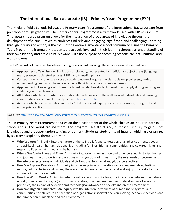# **The International Baccalaureate (IB) - Primary Years Programme (PYP)**

The Midland Public Schools follows the Primary Years Programme of the International Baccalaureate from preschool through grade five. The Primary Years Programme is a framework used with MPS curriculum. This research-based program allows for the integration of broad areas of knowledge through the development of curriculum which students find relevant, engaging, significant, and challenging. Learning, through inquiry and action, is the focus of the entire elementary school community. Using the Primary Years Programme framework, students are actively involved in their learning through an understanding of their own identity and are culturally aware, with the purpose of becoming responsible local, national and world citizens.

The PYP consists of five essential elements to guide student learning. These five essential elements are:

- **Approaches to Teaching**  which is both disciplinary, represented by traditional subject areas (language, math, science, social studies, arts, PSPE) and transdisciplinary
- **Concepts**  which students explore through structured inquiry in order to develop coherent, in-depth understanding, and which have relevance both within and beyond subject areas
- **Approaches to Learning -** which are the broad capabilities students develop and apply during learning and in life beyond the classroom
- **Attitudes**  which contribute to international-mindedness and the wellbeing of individuals and learning communities, and connect directly to the [IB learner profile](http://www.ibo.org/en/benefits/learner-profile/)
- **Action**  which is an expectation in the PYP that successful inquiry leads to responsible, thoughtful and -appropriate action.

### **Taken** fro[m http://www.ibo.org/en/programmes/primary-years-programme/curriculum/written-curriculum/](http://www.ibo.org/en/programmes/primary-years-programme/curriculum/written-curriculum/)

The IB Primary Years Programme focuses on the development of the whole child as an inquirer, both in school and in the world around them. The program uses structured, purposeful inquiry to gain more knowledge and a deeper understanding of content. Students study units of inquiry, which are organized by six transdisciplinary themes. They are:

- **Who We Are:** An inquiry into the nature of the self; beliefs and values; personal, physical, mental, social and spiritual health; human relationships including families, friends, communities, and cultures; rights and responsibilities; what it means to be human.
- **Where We Are in Place and Time:** An inquiry into orientation in place and time; personal histories; homes and journeys; the discoveries, explorations and migrations of humankind; the relationships between and the interconnectedness of individuals and civilizations, from local and global perspectives.
- **How We Express Ourselves:** An inquiry into the ways in which we discover and express ideas, feelings, nature, culture, beliefs and values; the ways in which we reflect on, extend and enjoy our creativity; our appreciation of the aesthetic.
- **How the World Works:** An inquiry into the natural world and its laws; the interaction between the natural world (physical and biological) and human societies; how humans use their understanding of scientific principles; the impact of scientific and technological advances on society and on the environment.
- **How We Organize Ourselves:** An inquiry into the interconnectedness of human-made systems and communities; the structure and function of organizations; societal decision-making; economic activities and their impact on humankind and the environment.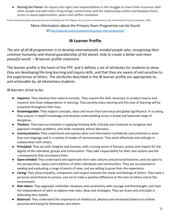● **Sharing the Planet:** An inquiry into rights and responsibilities in the struggle to share finite resources with other people and with other living things; communities and the relationships within and between them; access to equal opportunities; peace and conflict resolution.

From International Baccalaureate document *Making the PYP Happen: A Curriculum Framework for the International Primary Education*, 2009

### More information about the Primary Years Programme can be found

at[:http://www.ibo.org/en/programmes/primary-years-programme/](http://www.ibo.org/en/programmes/primary-years-programme/)

# **IB Learner Profile**

*The aim of all IB programmes is to develop internationally minded people who, recognizing their common humanity and shared guardianship of the planet, help to create a better and more peaceful world*. – IB learner profile statement

The learner profile is the heart of the PYP, and it defines a set of attributes for students to show they are developing life-long learning and inquiry skills, and that they are aware of and sensitive to the experiences of others. The attributes described in the IB learner profile are appropriate to, and achievable by, all elementary students.

IB learners strive to be:

- **Inquirers**: They develop their natural curiosity. They acquire the skills necessary to conduct inquiry and research and show independence in learning. They actively enjoy learning and this love of learning will be sustained throughout their lives.
- **Knowledgeable:** They explore concepts, ideas and issues that have local and global significance. In so doing, they acquire in-depth knowledge and develop understanding across a broad and balanced range of disciplines.
- **Thinkers:** They exercise initiative in applying thinking skills critically and creatively to recognize and approach complex problems, and make reasoned, ethical decisions.
- **Communicators:** They understand and express ideas and information confidently and creatively in more than one language and in a variety of modes of communication. They work effectively and willingly in collaboration with others.
- **Principled:** They act with integrity and honesty, with a strong sense of fairness, justice and respect for the dignity of the individual, groups and communities. They take responsibility for their own actions and the -consequences that accompany them.
- **Open-minded:** They understand and appreciate their own cultures and personal histories, and are open to the perspectives, values and traditions of other individuals and communities. They are accustomed to seeking and evaluating a range of points of view, and are willing to grow from the experience.
- **Caring:** They show empathy, compassion and respect towards the needs and feelings of others. They have a personal commitment to service, and act to make a positive difference to the lives of others and to the environment.
- **Risk-takers:** They approach unfamiliar situations and uncertainty with courage and forethought, and have the independence of spirit to explore new roles, ideas and strategies. They are brave and articulate in defending their beliefs.
- **Balanced:** They understand the importance of intellectual, physical and emotional balance to achieve personal well-being for themselves and others.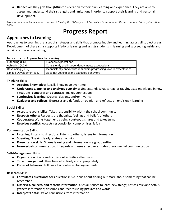● **Reflective:** They give thoughtful consideration to their own learning and experience. They are able to assess and understand their strengths and limitations in order to support their learning and personal development.

From International Baccalaureate document *Making the PYP Happen: A Curriculum Framework for the International Primary Education*, 2009

# **Progress Report**

# **Approaches to Learning**

Approaches to Learning are a set of strategies and skills that promote inquiry and learning across all subject areas. Development of these skills supports life-long learning and assists students in learning and succeeding inside and outside of the school setting.

### **Indicators for Approaches to Learning**

| Extending (EXT)           | Exceeds expectations                                                 |
|---------------------------|----------------------------------------------------------------------|
| Achieving (ACH)           | Consistently and independently meets expectations                    |
| Developing (DEV)          | Inconsistently and/or with reminders progressing toward expectations |
| Limited Development (LIM) | Does not yet exhibit the expected behaviors                          |

### **Thinking Skills:**

- **Acquires knowledge**: Recalls knowledge over time
- **Understands, applies and analyzes over time**: Understands what is read or taught, uses knowledge in new situations, compares and contrasts; makes connections
- **Synthesizes learning**: Creates, designs, and/or invents
- **Evaluates and reflects**: Expresses and defends an opinion and reflects on one's own learning

### **Social Skills:**

- **Accepts responsibility**: Takes responsibility within the school community
- **Respects others:** Respects the thoughts, feelings and beliefs of others
- **Cooperates:** Works together by being courteous, shares and takes turns
- **Resolves conflict:** Accepts responsibility, compromises, is fair

### **Communication Skills:**

- **Listening:** Listens to directions, listens to others, listens to information
- **Speaking**: Speaks clearly; states an opinion
- **Presentation skills**: Shares learning and information in a group setting
- **Non-verbal communication:** Interprets and uses effectively modes of non-verbal communication

### **Self-Management Skills:**

- **Organization:** Plans and carries out activities effectively
- **Time management:** Uses time effectively and appropriately
- **Codes of behavior:** Follows all school essential agreements

### **Research Skills:**

- **● Formulates questions:** Asks questions; is curious about finding out more about something that can be researched
- **● Observes, collects, and records information:** Uses all senses to learn new things; notices relevant details; gathers information; describes and records using pictures and words
- **● Interprets data:** Draws conclusions from information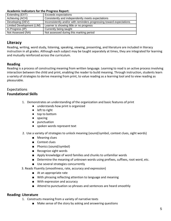### **Academic Indicators for the Progress Report:**

| Exceeds expectations                                                 |  |
|----------------------------------------------------------------------|--|
| Consistently and independently meets expectations                    |  |
| Inconsistently and/or with reminders progressing toward expectations |  |
| Learner is showing little or no progress                             |  |
| Currently being taught                                               |  |
| Not assessed during this marking period                              |  |
|                                                                      |  |

# **Literacy**

Reading, writing, word study, listening, speaking, viewing, presenting, and literature are included in literacy instruction in all grades. Although each subject may be taught separately at times, they are integrated for learning and mutually reinforced across the curriculum.

### **Reading**

Reading is a process of constructing meaning from written language. Learning to read is an active process involving interaction between the child and print, enabling the reader to build meaning. Through instruction, students learn a variety of strategies to derive meaning from print, to value reading as a learning tool and to view reading as pleasurable.

### Expectations **Foundational Skills**

- 1. Demonstrates an understanding of the organization and basic features of print
	- understands how print is organized
	- left to right
	- top to bottom
	- spacing
	- punctuation
	- spoken words represent text
- 2. Use a variety of strategies to unlock meaning (sound/symbol, context clues, sight words)
	- Meaning clues
	- Context clues
	- Phonics (sound/symbol)
	- Recognize sight words
	- Apply knowledge of word families and chunks to unfamiliar words
	- Determine the meaning of unknown words using prefixes, suffixes, root word, etc.
	- Use several strategies concurrently
- 3. Reads Fluently (smoothness, rate, accuracy and expression)
	- At an appropriate rate
	- With phrasing reflecting attention to language and meaning
	- With expression and accuracy
	- Attend to punctuation so phrases and sentences are heard smoothly

### **Reading: Literature**

- 1. Constructs meaning from a variety of narrative texts
	- Make sense of the story by asking and answering questions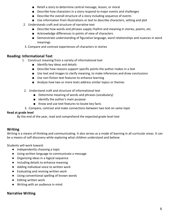- Retell a story to determine central message, lesson, or moral
- Describe how characters in a story respond to major events and challenges
- Describe the overall structure of a story including sequence of events
- Use information from illustrations or text to describe characters, setting and plot
- 2. Understands craft and structure of narrative text
	- Describe how words and phrases supply rhythm and meaning in stories, poems, etc.
	- Acknowledge differences in points of view of characters
	- Demonstrate understanding of figurative language, word relationships and nuances in word meanings
- 3. Compare and contrast experiences of characters in stories

### **Reading: Informational Text**

- 1. Construct meaning from a variety of informational text
	- Identify key ideas and details
	- Describe how reasons support specific points the author makes in a text
	- Use text and images to clarify meaning, to make inferences and draw conclusions
	- Use non-fiction text features to enhance learning
	- Analyze how two or more texts address similar topics or themes
	- 2. Understand craft and structure of informational text
		- Determine meaning of words and phrases (vocabulary)
		- Identify the author's main purpose
		- Know and use text features to locate key facts
	- 3. Compare, contrast and make connections between two text on same topic

### **Read at grade level**

By the end of the year, read and comprehend the expected grade level text

### **Writing**

Writing is a means of thinking and communicating. It also serves as a mode of learning in all curricular areas. It can be a means of self-discovery while exploring what children understand and believe.

Students will work toward:

- Independently choosing a topic
- Using written language to communicate a message
- Organizing ideas in a logical sequence
- Including details to enhance meaning
- Adding individual voice to written work
- Evaluating and revising written work
- Using conventional spelling of known words
- Editing written work
- Writing with an audience in mind

### **Narrative Writing**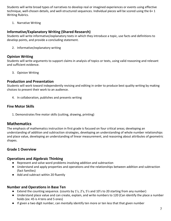Students will write broad types of narratives to develop real or imagined experiences or events using effective technique, well-chosen details, and well-structured sequences. Individual pieces will be scored using the 6+ 1 Writing Rubrics.

1. Narrative Writing

### **Informative/Explanatory Writing (Shared Research)**

Students will write informative/explanatory texts in which they introduce a topic, use facts and definitions to develop points, and provide a concluding statement.

2. Informative/explanatory writing

### **Opinion Writing**

Students will write arguments to support claims in analysis of topics or texts, using valid reasoning and relevant and sufficient evidence.

3. Opinion Writing

### **Production and Presentation**

Students will work toward independently revising and editing in order to produce best quality writing by making choices to present their work to an audience.

4. In collaboration, publishes and presents writing

### **Fine Motor Skills**

1. Demonstrates fine motor skills (cutting, drawing, printing)

## **Mathematics**

The emphasis of mathematics instruction in first grade is focused on four critical areas; developing an understanding of addition and subtraction strategies, developing an understanding of whole number relationships and place value, developing an understanding of linear measurement, and reasoning about attributes of geometric shapes.

### **Grade 1 Overview**

### **Operations and Algebraic Thinking**

- Represent and solve word problems involving addition and subtraction
- Understand and apply properties and operations and the relationships between addition and subtraction (fact families)
- Add and subtract within 20 fluently

### **Number and Operations in Base Ten**

- Extend the counting sequence. (counts by 1's, 2's, 5's and 10's to 20 starting from any number)
- Understand place value and can create, explain, and write numbers to 120 (Can identify the place a number holds (ex: 45 is 4 tens and 5 ones)
- If given a two digit number, can mentally identify ten more or ten less that that given number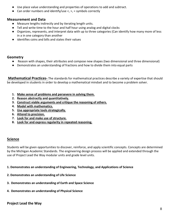- Use place value understanding and properties of operations to add and subtract.
- Can order numbers and identify/use  $\lt$ ,  $\gt$ , = symbols correctly

### **Measurement and Data**

- Measure lengths indirectly and by iterating length units.
- Tell and write time to the hour and half hour using analog and digital clocks
- Organizes, represents, and interpret data with up to three categories (Can identify how many more of less in a in one category than another
- identifies coins and bills and states their values

### **Geometry**

- Reason with shapes, their attributes and compose new shapes (two dimensional and three dimensional)
- Demonstrates an understanding of fractions and how to divide them into equal parts

**Mathematical Practices-** The standards for mathematical practices describe a variety of expertise that should be developed in students in order to develop a mathematical mindset and to become a problem solver.

- **1. Make sense of problems and persevere in solving them.**
- **2. Reason abstractly and quantitatively.**
- **3. Construct viable arguments and critique the reasoning of others.**
- **4. Model with mathematics.**
- **5. Use appropriate tools strategically.**
- **6. Attend to precision.**
- **7. Look for and make use of structure.**
- **8. Look for and express regularity in repeated reasoning.**

### **Science**

Students will be given opportunities to discover, reinforce, and apply scientific concepts. Concepts are determined by the Michigan Academic Standards. The engineering design process will be applied and extended through the use of Project Lead the Way modular units and grade level units.

### **1. Demonstrates an understanding of Engineering, Technology, and Applications of Science**

- **2. Demonstrates an understanding of Life Science**
- **3. Demonstrates an understanding of Earth and Space Science**
- **4. Demonstrates an understanding of Physical Science**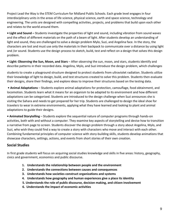Project Lead the Way is the STEM Curriculum for Midland Public Schools. Each grade level engages in four interdisciplinary units in the areas of life science, physical science, earth and space science, technology and engineering. The units are designed with compelling activities, projects, and problems that build upon each other and relates to the world around them.

**• Light and Sound –** Students investigate the properties of light and sound, including vibration from sound waves and the effect of different materials on the path of a beam of light. After students develop an understanding of light and sound, they are challenged to solve a design problem Mylo, Suzi, and Angelina face. In the story, the characters are lost and must use only the materials in their backpack to communicate over a distance by using light and /or sound. Students use the design process to sketch, build, test and reflect on a design that solves this design problem.

**• Light: Observing the Sun, Moon, and Stars** – After observing the sun, moon, and stars, students identify and describe patterns in their recorded data. Angelina, Mylo, and Suzi introduce the design problem, which challenges

students to create a playground structure designed to protect students from ultraviolet radiation. Students utilize their knowledge of light to design, build, and test structures created to solve this problem. Students then evaluate their designs, share their findings, and explore ideas to improve their structures based on the testing data.

**• Animal Adaptations** – Students explore animal adaptations for protection, camouflage, food obtainment, and locomotion. Students learn what it means for an organism to be adapted to its environment and how different adaptations can be categorized. Students are introduced to the design challenge when Suzi announces she is visiting the Sahara and needs to get prepared for her trip. Students are challenged to design the ideal shoe for travelers to wear in extreme environments, applying what they have learned and looking to plant and animal adaptations to guide their designs.

**• Animated Storytelling** – Students explore the sequential nature of computer programs through hands-on activities, both with and without a computer. They examine key aspects of storytelling and devise how to transition a narrative from page to screen. Students discover the design problem through a story about Angelina, Mylo, and Suzi, who wish they could find a way to create a story with characters who move and interact with each other. Combining fundamental principles of computer science with story-building skills, students develop animations that showcase characters, settings, actions, and events from short stories of their own creation.

### **Social Studies**

In first grade students will focus on acquiring social studies knowledge and skills in five areas: history, geography, civics and government, economics and public discourse.

- **1. Understands the relationship between people and the environment**
- **2. Understands the connections between causes and consequences**
- **3. Understands how societies construct organizations and systems**
- **4. Understands how geography and human experiences give a place its identity**
- **5. Understands the role of public discourse, decision making, and citizen involvement**
- **6. Understands the impact of economic activities**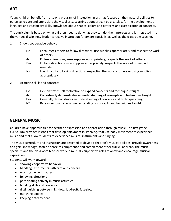# **ART**

Young children benefit from a strong program of instruction in art that focuses on their natural abilities to perceive, create and appreciate the visual arts. Learning about art can be a catalyst for the development of language and vocabulary skills, knowledge about shapes, colors and patterns and classification of concepts.

The curriculum is based on what children need to do, what they can do, their interests and is integrated into the various disciplines. Students receive instruction for am art specialist as well as the classroom teacher.

- 1. Shows cooperative behavior
	- Ext Encourages others to follow directions, use supplies appropriately and respect the work of others.
	- **Ach Follows directions, uses supplies appropriately, respects the work of others.**
	- Dev Follows directions, uses supplies appropriately, respects the work of others, with reminder.
	- NY Has difficulty following directions, respecting the work of others or using supplies appropriately.
- 2. Acquiring skills and concepts
	- Ext Demonstrates self motivation to expand concepts and techniques taught.
	- **Ach Consistently demonstrates an understanding of concepts and techniques taught.**
	- Dev Generally demonstrates an understanding of concepts and techniques taught.
	- NY Rarely demonstrates an understanding of concepts and techniques taught

### **GENERAL MUSIC**

Children have opportunities for aesthetic expression and appreciation through music. The first grade curriculum provides lessons that develop enjoyment in listening, that use body movement to experience music and that allow students to experience musical instruments and singing.

The music curriculum and instruction are designed to develop children's musical abilities, provide awareness and gain knowledge, foster a sense of competence and complement other curricular areas. The music specialist and the classroom teacher work in mutually supportive roles to allow and encourage musical expression.

Students will work toward:

- showing cooperative behavior
- handling instruments with care and concern
- working well with others
- following directions
- participating actively in music activities
- building skills and concepts
- distinguishing between high-low; loud-soft; fast-slow
- matching pitches
- keeping a steady beat
- •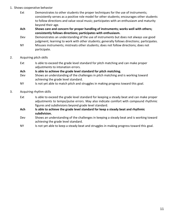- 1. Shows cooperative behavior
	- Ext Demonstrates to other students the proper techniques for the use of instruments; consistently serves as a positive role model for other students; encourages other students to follow directions and value vocal music; participates with an enthusiasm and maturity beyond their age.
	- **Ach Shows care and concern for proper handling of instruments; works well with others; consistently follows directions; participates with enthusiasm.**
	- Dev Demonstrates an understanding of the use of instruments but does not always use good judgment; learning to work with other students; generally follows directions; participates.
	- NY Misuses instruments; mistreats other students; does not follow directions; does not participate.
- 2. Acquiring pitch skills
	- Ext Is able to exceed the grade level standard for pitch matching and can make proper adjustments to intonation errors.
	- **Ach Is able to achieve the grade level standard for pitch matching.**
	- Dev Shows an understanding of the challenges in pitch matching and is working toward achieving the grade level standard.
	- NY Is not yet able to match pitch and struggles in making progress toward this goal.
- 3. Acquiring rhythm skills
	- Ext Is able to exceed the grade level standard for keeping a steady beat and can make proper adjustments to tempo/pulse errors. May also indicate comfort with compound rhythmic figures and subdivisions beyond grade level standard.
	- **Ach Is able to achieve the grade level standard for keep a steady beat and rhythmic subdivision.**
	- Dev Shows an understanding of the challenges in keeping a steady beat and is working toward achieving the grade level standard.
	- NY Is not yet able to keep a steady beat and struggles in making progress toward this goal.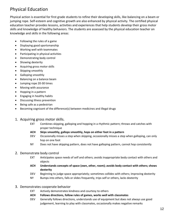# Physical Education

Physical action is essential for first grade students to refine their developing skills, like balancing on a beam or jumping rope. Self-esteem and cognitive growth are also enhanced by physical activity. The certified physical education teacher provides lessons, activities and experiences that help students develop their gross motor skills and knowledge of healthy behaviors. The students are assessed by the physical education teacher on knowledge and skills in the following areas:

- Following the rules of a game
- Displaying good sportsmanship
- Working well with teammates
- Participating in physical activities
- Demonstrating body control
- Showing dexterity
- Acquiring gross motor skills
- Skipping smoothly
- Galloping smoothly
- Balancing on a balance beam
- Jumping rope 20-30 times
- Moving with assurance
- Hopping in a pattern
- Engaging in healthy habits
- Discussing illness prevention
- Being safe as a pedestrian
- Becoming cognizant of the difference(s) between medicines and illegal drugs
- 1. Acquiring gross motor skills.
	- EXT Combines skipping, galloping and hopping in a rhythmic pattern; throws and catches with proper technique
	- **ACH Skips smoothly, gallops smoothly, hops on either foot in a pattern**
	- DEV Occasionally misses a step when skipping, occasionally misses a step when galloping, can only hop on one foot
	- NY Does not have skipping pattern, does not have galloping pattern, cannot hop consistently
- 2. Demonstrate body control
	- EXT Anticipates space needs of self and others; avoids inappropriate body contact with others and objects
	- **ACH Understands concepts of space (own, other, room); avoids body contact with others; shows dexterity**
	- DEV Beginning to judge space appropriately; sometimes collides with others; improving dexterity
	- NY Bumps into others, falls or slides frequently, trips self or others, lacks dexterity
- 3. Demonstrates cooperate behavior
	- EXT Actively demonstrates kindness and courtesy to others
	- **ACH Follows directions, follow rules of games, works well with classmates**
	- DEV Generally follows directions, understands use of equipment but does not always use good judgement, learning to play with classmates, occasionally makes negative remarks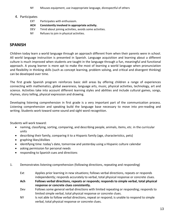- NY Misuses equipment, use inappropriate language, disrespectful of others
- 4. Participates
	- EXT Participates with enthusiasm.
	- **ACH Consistently involved in appropriate activity.**
	- DEV Timid about joining activities, avoids some activities.
	- NY Refuses to join in physical activities.

# **SPANISH**

Children today learn a world language through an approach different from when their parents were in school. All world language instruction is presented in Spanish. Language acquisition and learning about a different culture is much improved when students are taught in the language through a fun, meaningful and functional approach. A young learner is more apt to make the most of learning a world language when pronunciation and flexibility in thinking skills (such as concept learning, problem solving, and critical and divergent thinking) can be developed over time.

The first grade Spanish program reinforces basic skill areas by offering children a range of experiences connecting with mathematics, global awareness, language arts, music, physical activities, technology, art and science. Activities take into account different learning styles and abilities and include cultural games, songs, rhymes, story telling, physical expression and drawing.

Developing listening comprehension in first grade is a very important part of the communication process. Listening comprehension and speaking build the language base necessary to move into pre-reading and writing. Students work toward some sound and sight word recognition.

Students will work toward:

- naming, classifying, sorting, comparing, and describing people, animals, items, etc. in the curricular units
- describing their family, comparing it to a Hispanic family (age, characteristics, pets)
- graphing likes/dislikes
- identifying time: today's date, tomorrow and yesterday using a Hispanic culture calendar
- asking permission for personal needs
- responding to Spanish cues and directions
- 1. Demonstrates listening comprehension (following directions, repeating and responding)
	- Ext Applies prior learning in new situations; follows verbal directions, repeats or responds independently; responds accurately to verbal, total physical response or concrete clues.
	- **Ach Follows verbal directions, repeats or responds; responds to simple verbal, total physical response or concrete clues consistently.**
	- Dev Follows some general verbal directions with limited repeating or responding; responds to limited simple verbal, total physical response or concrete clues.
	- NY Is not able to follow verbal directions, repeat or respond; is unable to respond to simple verbal, total physical response or concrete clues.